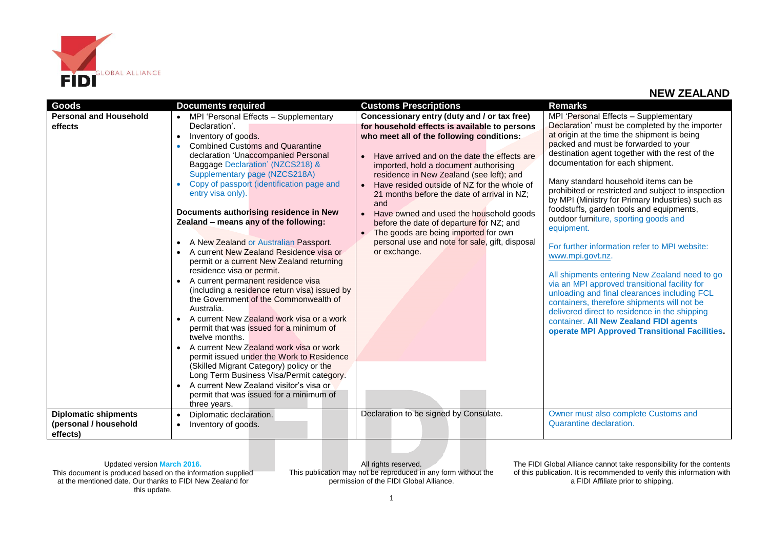

| Goods                                                            | <b>Documents required</b>                                                                                                                                                                                                                                                                                                                                                                                                                                                                                                                                                                                                                                                                                                                                                                                                                                                                                                                                                                                                                                                                              | <b>Customs Prescriptions</b>                                                                                                                                                                                                                                                                                                                                                                                                                                                                                                                                                                                                 | <b>Remarks</b>                                                                                                                                                                                                                                                                                                                                                                                                                                                                                                                                                                                                                                                                                                                                                                                                                                                                                                                               |
|------------------------------------------------------------------|--------------------------------------------------------------------------------------------------------------------------------------------------------------------------------------------------------------------------------------------------------------------------------------------------------------------------------------------------------------------------------------------------------------------------------------------------------------------------------------------------------------------------------------------------------------------------------------------------------------------------------------------------------------------------------------------------------------------------------------------------------------------------------------------------------------------------------------------------------------------------------------------------------------------------------------------------------------------------------------------------------------------------------------------------------------------------------------------------------|------------------------------------------------------------------------------------------------------------------------------------------------------------------------------------------------------------------------------------------------------------------------------------------------------------------------------------------------------------------------------------------------------------------------------------------------------------------------------------------------------------------------------------------------------------------------------------------------------------------------------|----------------------------------------------------------------------------------------------------------------------------------------------------------------------------------------------------------------------------------------------------------------------------------------------------------------------------------------------------------------------------------------------------------------------------------------------------------------------------------------------------------------------------------------------------------------------------------------------------------------------------------------------------------------------------------------------------------------------------------------------------------------------------------------------------------------------------------------------------------------------------------------------------------------------------------------------|
| <b>Personal and Household</b><br>effects                         | • MPI 'Personal Effects - Supplementary<br>Declaration'.<br>Inventory of goods.<br><b>Combined Customs and Quarantine</b><br>declaration 'Unaccompanied Personal<br>Baggage Declaration' (NZCS218) &<br>Supplementary page (NZCS218A)<br>Copy of passport (identification page and<br>entry visa only).<br>Documents authorising residence in New<br>Zealand - means any of the following:<br>A New Zealand or Australian Passport.<br>A current New Zealand Residence visa or<br>permit or a current New Zealand returning<br>residence visa or permit.<br>A current permanent residence visa<br>(including a residence return visa) issued by<br>the Government of the Commonwealth of<br>Australia.<br>A current New Zealand work visa or a work<br>permit that was issued for a minimum of<br>twelve months.<br>A current New Zealand work visa or work<br>permit issued under the Work to Residence<br>(Skilled Migrant Category) policy or the<br>Long Term Business Visa/Permit category.<br>A current New Zealand visitor's visa or<br>permit that was issued for a minimum of<br>three years. | Concessionary entry (duty and / or tax free)<br>for household effects is available to persons<br>who meet all of the following conditions:<br>Have arrived and on the date the effects are<br>$\bullet$<br>imported, hold a document authorising<br>residence in New Zealand (see left); and<br>Have resided outside of NZ for the whole of<br>21 months before the date of arrival in NZ;<br>and<br>Have owned and used the household goods<br>$\bullet$<br>before the date of departure for NZ; and<br>The goods are being imported for own<br>$\bullet$<br>personal use and note for sale, gift, disposal<br>or exchange. | MPI 'Personal Effects - Supplementary<br>Declaration' must be completed by the importer<br>at origin at the time the shipment is being<br>packed and must be forwarded to your<br>destination agent together with the rest of the<br>documentation for each shipment.<br>Many standard household items can be<br>prohibited or restricted and subject to inspection<br>by MPI (Ministry for Primary Industries) such as<br>foodstuffs, garden tools and equipments,<br>outdoor furniture, sporting goods and<br>equipment.<br>For further information refer to MPI website:<br>www.mpi.govt.nz.<br>All shipments entering New Zealand need to go<br>via an MPI approved transitional facility for<br>unloading and final clearances including FCL<br>containers, therefore shipments will not be<br>delivered direct to residence in the shipping<br>container. All New Zealand FIDI agents<br>operate MPI Approved Transitional Facilities. |
| <b>Diplomatic shipments</b><br>(personal / household<br>effects) | Diplomatic declaration.<br>Inventory of goods.                                                                                                                                                                                                                                                                                                                                                                                                                                                                                                                                                                                                                                                                                                                                                                                                                                                                                                                                                                                                                                                         | Declaration to be signed by Consulate.                                                                                                                                                                                                                                                                                                                                                                                                                                                                                                                                                                                       | Owner must also complete Customs and<br>Quarantine declaration.                                                                                                                                                                                                                                                                                                                                                                                                                                                                                                                                                                                                                                                                                                                                                                                                                                                                              |

Updated version **March 2016.** This document is produced based on the information supplied at the mentioned date. Our thanks to FIDI New Zealand for this update.

All rights reserved. This publication may not be reproduced in any form without the permission of the FIDI Global Alliance.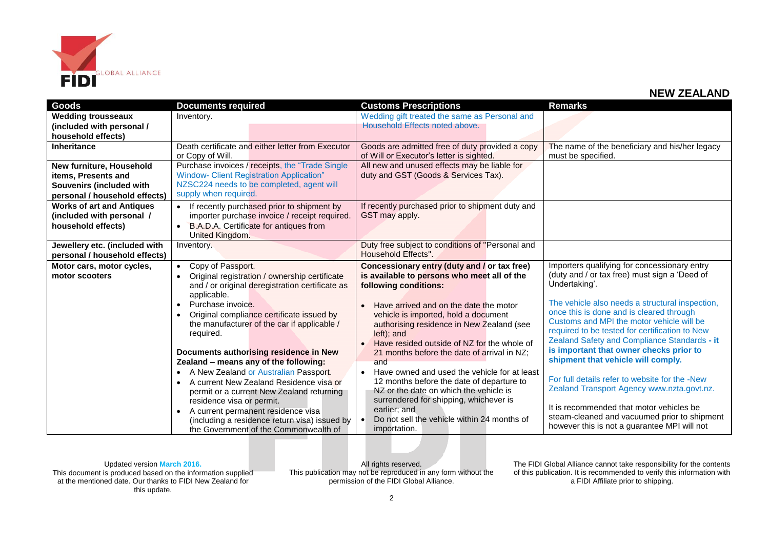

| <b>Goods</b>                                    | <b>Documents required</b>                                  | <b>Customs Prescriptions</b>                              | <b>Remarks</b>                                                                        |
|-------------------------------------------------|------------------------------------------------------------|-----------------------------------------------------------|---------------------------------------------------------------------------------------|
| <b>Wedding trousseaux</b>                       | Inventory.                                                 | Wedding gift treated the same as Personal and             |                                                                                       |
| (included with personal /                       |                                                            | Household Effects noted above.                            |                                                                                       |
| household effects)                              |                                                            |                                                           |                                                                                       |
| <b>Inheritance</b>                              | Death certificate and either letter from Executor          | Goods are admitted free of duty provided a copy           | The name of the beneficiary and his/her legacy                                        |
|                                                 | or Copy of Will.                                           | of Will or Executor's letter is sighted.                  | must be specified.                                                                    |
| New furniture, Household                        | Purchase invoices / receipts, the "Trade Single"           | All new and unused effects may be liable for              |                                                                                       |
| items, Presents and                             | <b>Window- Client Registration Application"</b>            | duty and GST (Goods & Services Tax).                      |                                                                                       |
| Souvenirs (included with                        | NZSC224 needs to be completed, agent will                  |                                                           |                                                                                       |
| personal / household effects)                   | supply when required.                                      |                                                           |                                                                                       |
| <b>Works of art and Antiques</b>                | • If recently purchased prior to shipment by               | If recently purchased prior to shipment duty and          |                                                                                       |
| (included with personal /                       | importer purchase invoice / receipt required.              | GST may apply.                                            |                                                                                       |
| household effects)                              | B.A.D.A. Certificate for antiques from<br>$\bullet$        |                                                           |                                                                                       |
|                                                 | United Kingdom.                                            |                                                           |                                                                                       |
| Jewellery etc. (included with                   | Inventory.                                                 | Duty free subject to conditions of "Personal and          |                                                                                       |
| personal / household effects)                   |                                                            | Household Effects".                                       |                                                                                       |
| Motor cars, motor cycles,                       | Copy of Passport.<br>$\bullet$                             | Concessionary entry (duty and / or tax free)              | Importers qualifying for concessionary entry                                          |
| motor scooters                                  | Original registration / ownership certificate<br>$\bullet$ | is available to persons who meet all of the               | (duty and / or tax free) must sign a 'Deed of                                         |
|                                                 | and / or original deregistration certificate as            | following conditions:                                     | Undertaking'.                                                                         |
|                                                 | applicable.                                                |                                                           |                                                                                       |
|                                                 | Purchase invoice.                                          | Have arrived and on the date the motor                    | The vehicle also needs a structural inspection,                                       |
|                                                 | Original compliance certificate issued by<br>$\bullet$     | vehicle is imported, hold a document                      | once this is done and is cleared through<br>Customs and MPI the motor vehicle will be |
|                                                 | the manufacturer of the car if applicable /                | authorising residence in New Zealand (see                 | required to be tested for certification to New                                        |
|                                                 | required.                                                  | left); and                                                | Zealand Safety and Compliance Standards - it                                          |
|                                                 |                                                            | Have resided outside of NZ for the whole of               | is important that owner checks prior to                                               |
|                                                 | Documents authorising residence in New                     | 21 months before the date of arrival in NZ;               |                                                                                       |
|                                                 | Zealand - means any of the following:                      | and                                                       | shipment that vehicle will comply.                                                    |
|                                                 | A New Zealand or Australian Passport.                      | Have owned and used the vehicle for at least<br>$\bullet$ | For full details refer to website for the -New                                        |
|                                                 | A current New Zealand Residence visa or                    | 12 months before the date of departure to                 |                                                                                       |
|                                                 | permit or a current New Zealand returning                  | NZ or the date on which the vehicle is                    | Zealand Transport Agency www.nzta.govt.nz.                                            |
|                                                 | residence visa or permit.                                  | surrendered for shipping, whichever is                    | It is recommended that motor vehicles be                                              |
| A current permanent residence visa<br>$\bullet$ |                                                            | earlier; and                                              | steam-cleaned and vacuumed prior to shipment                                          |
|                                                 | (including a residence return visa) issued by              | Do not sell the vehicle within 24 months of<br>$\bullet$  | however this is not a guarantee MPI will not                                          |
|                                                 | the Government of the Commonwealth of                      | importation.                                              |                                                                                       |

Updated version **March 2016.** This document is produced based on the information supplied at the mentioned date. Our thanks to FIDI New Zealand for this update.

All rights reserved. This publication may not be reproduced in any form without the permission of the FIDI Global Alliance.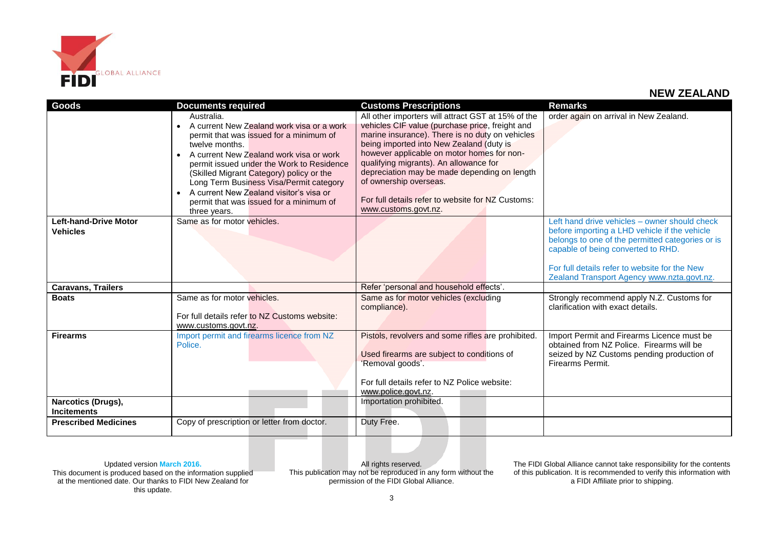

| <b>Goods</b>                 | <b>Documents required</b>                            | <b>Customs Prescriptions</b>                       | <b>Remarks</b>                                                                         |
|------------------------------|------------------------------------------------------|----------------------------------------------------|----------------------------------------------------------------------------------------|
|                              | Australia.                                           | All other importers will attract GST at 15% of the | order again on arrival in New Zealand.                                                 |
|                              | A current New Zealand work visa or a work            | vehicles CIF value (purchase price, freight and    |                                                                                        |
|                              | permit that was issued for a minimum of              | marine insurance). There is no duty on vehicles    |                                                                                        |
|                              | twelve months.                                       | being imported into New Zealand (duty is           |                                                                                        |
|                              | A current New Zealand work visa or work              | however applicable on motor homes for non-         |                                                                                        |
|                              | permit issued under the Work to Residence            | qualifying migrants). An allowance for             |                                                                                        |
|                              | (Skilled Migrant Category) policy or the             | depreciation may be made depending on length       |                                                                                        |
|                              | Long Term Business Visa/Permit category              | of ownership overseas.                             |                                                                                        |
|                              | A current New Zealand visitor's visa or<br>$\bullet$ | For full details refer to website for NZ Customs:  |                                                                                        |
|                              | permit that was issued for a minimum of              |                                                    |                                                                                        |
|                              | three years.                                         | www.customs.govt.nz.                               |                                                                                        |
| <b>Left-hand-Drive Motor</b> | Same as for motor vehicles.                          |                                                    | Left hand drive vehicles - owner should check                                          |
| <b>Vehicles</b>              |                                                      |                                                    | before importing a LHD vehicle if the vehicle                                          |
|                              |                                                      |                                                    | belongs to one of the permitted categories or is<br>capable of being converted to RHD. |
|                              |                                                      |                                                    |                                                                                        |
|                              |                                                      |                                                    | For full details refer to website for the New                                          |
|                              |                                                      |                                                    | Zealand Transport Agency www.nzta.govt.nz.                                             |
| <b>Caravans, Trailers</b>    |                                                      | Refer 'personal and household effects'.            |                                                                                        |
| <b>Boats</b>                 | Same as for motor vehicles.                          | Same as for motor vehicles (excluding              | Strongly recommend apply N.Z. Customs for                                              |
|                              |                                                      | compliance).                                       | clarification with exact details.                                                      |
|                              | For full details refer to NZ Customs website:        |                                                    |                                                                                        |
|                              | www.customs.govt.nz.                                 |                                                    |                                                                                        |
| <b>Firearms</b>              | Import permit and firearms licence from NZ           | Pistols, revolvers and some rifles are prohibited. | Import Permit and Firearms Licence must be                                             |
|                              | Police.                                              |                                                    | obtained from NZ Police. Firearms will be                                              |
|                              |                                                      | Used firearms are subject to conditions of         | seized by NZ Customs pending production of                                             |
|                              |                                                      | 'Removal goods'.                                   | Firearms Permit.                                                                       |
|                              |                                                      | For full details refer to NZ Police website:       |                                                                                        |
|                              |                                                      | www.police.govt.nz.                                |                                                                                        |
| Narcotics (Drugs),           |                                                      | Importation prohibited.                            |                                                                                        |
| <b>Incitements</b>           |                                                      |                                                    |                                                                                        |
| <b>Prescribed Medicines</b>  | Copy of prescription or letter from doctor.          | Duty Free.                                         |                                                                                        |
|                              |                                                      |                                                    |                                                                                        |

Updated version **March 2016.** This document is produced based on the information supplied at the mentioned date. Our thanks to FIDI New Zealand for this update.

All rights reserved. This publication may not be reproduced in any form without the permission of the FIDI Global Alliance.